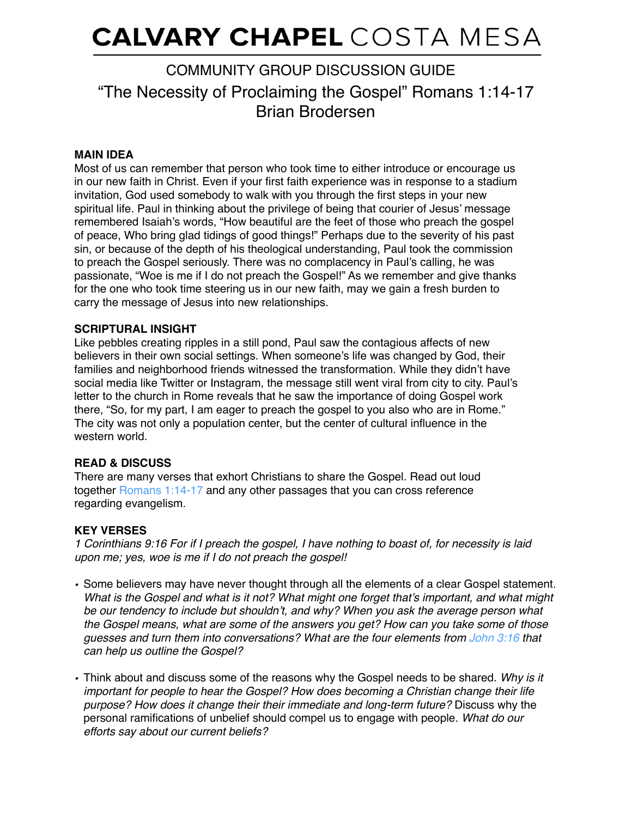# **CALVARY CHAPEL** COSTA MESA

# "The Necessity of Proclaiming the Gospel" Romans 1:14-17 Brian Brodersen COMMUNITY GROUP DISCUSSION GUIDE

## **MAIN IDEA**

Most of us can remember that person who took time to either introduce or encourage us in our new faith in Christ. Even if your first faith experience was in response to a stadium invitation, God used somebody to walk with you through the first steps in your new spiritual life. Paul in thinking about the privilege of being that courier of Jesus' message remembered Isaiah's words, "How beautiful are the feet of those who preach the gospel of peace, Who bring glad tidings of good things!" Perhaps due to the severity of his past sin, or because of the depth of his theological understanding, Paul took the commission to preach the Gospel seriously. There was no complacency in Paul's calling, he was passionate, "Woe is me if I do not preach the Gospel!" As we remember and give thanks for the one who took time steering us in our new faith, may we gain a fresh burden to carry the message of Jesus into new relationships.

#### **SCRIPTURAL INSIGHT**

Like pebbles creating ripples in a still pond, Paul saw the contagious affects of new believers in their own social settings. When someone's life was changed by God, their families and neighborhood friends witnessed the transformation. While they didn't have social media like Twitter or Instagram, the message still went viral from city to city. Paul's letter to the church in Rome reveals that he saw the importance of doing Gospel work there, "So, for my part, I am eager to preach the gospel to you also who are in Rome." The city was not only a population center, but the center of cultural influence in the western world

# **READ & DISCUSS**

There are many verses that exhort Christians to share the Gospel. Read out loud together [Romans 1:14-17](https://www.biblegateway.com/passage/?search=Romans+1%3A14-17&version=NKJV;NIV) and any other passages that you can cross reference regarding evangelism.

#### **KEY VERSES**

*1 Corinthians 9:16 For if I preach the gospel, I have nothing to boast of, for necessity is laid upon me; yes, woe is me if I do not preach the gospel!*

- *•* Some believers may have never thought through all the elements of a clear Gospel statement. *What is the Gospel and what is it not? What might one forget that's important, and what might be our tendency to include but shouldn't, and why? When you ask the average person what the Gospel means, what are some of the answers you get? How can you take some of those guesses and turn them into conversations? What are the four elements from [John 3:16](https://www.biblegateway.com/passage/?search=John+3%3A16&version=NKJV;NIV) that can help us outline the Gospel?*
- *•* Think about and discuss some of the reasons why the Gospel needs to be shared. *Why is it important for people to hear the Gospel? How does becoming a Christian change their life purpose? How does it change their their immediate and long-term future?* Discuss why the personal ramifications of unbelief should compel us to engage with people. *What do our efforts say about our current beliefs?*